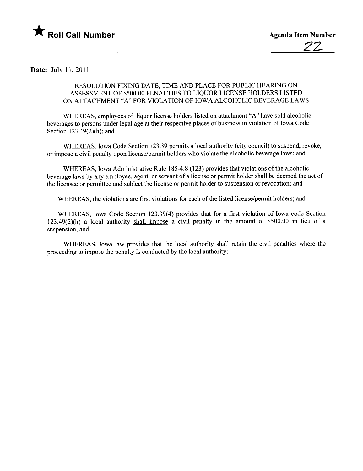

Date: July 11,2011

## RESOLUTION FIXING DATE, TIME AND PLACE FOR PUBLIC HEARING ON ASSESSMENT OF \$500.00 PENALTIES TO LIQUOR LICENSE HOLDERS LISTED ON ATTACHMENT "A" FOR VIOLATION OF IOWA ALCOHOLIC BEVERAGE LAWS

WHEREAS, employees of liquor license holders listed on attachment "A" have sold alcoholic beverages to persons under legal age at their respective places of business in violation of Iowa Code Section  $123.49(2)(h)$ ; and

WHEREAS, Iowa Code Section 123.39 permits a local authority (city council) to suspend, revoke, or impose a civil penalty upon license/permit holders who violate the alcoholic beverage laws; and

WHEREAS, Iowa Administrative Rule 185-4.8 (123) provides that violations of the alcoholic beverage laws by any employee, agent, or servant of a license or permit holder shall be deemed the act of the licensee or permittee and subject the license or permit holder to suspension or revocation; and

WHEREAS, the violations are first violations for each of the listed license/permit holders; and

WHREAS, Iowa Code Section 123.39(4) provides that for a first violation of Iowa code Section l23.49(2)(h) a local authority shall impose a civil penalty in the amount of \$500.00 in lieu of a suspension; and

WHREAS, Iowa law provides that the local authority shall retain the civil penalties where the proceeding to impose the penalty is conducted by the local authority;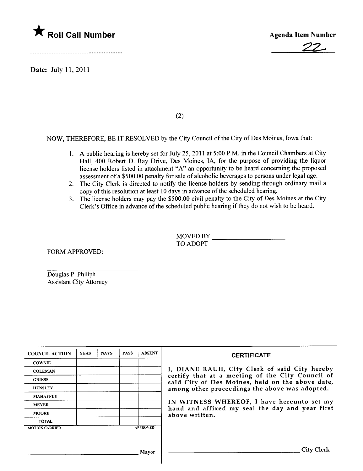

Date: July 11,2011



(2)

NOW, THEREFORE, BE IT RESOLVED by the City Council of the City of Des Moines, Iowa that:

- 1. A public hearing is hereby set for July 25,2011 at 5:00 P.M. in the Council Chambers at City Hall, 400 Robert D. Ray Drive, Des Moines, lA, for the purpose of providing the liquor license holders listed in attachment "A" an opportunity to be heard concerning the proposed assessment of a \$500.00 penalty for sale of alcoholic beverages to persons under legal age.
- 2. The City Clerk is directed to notify the license holders by sending through ordinary mail a copy of this resolution at least 10 days in advance of the scheduled hearing.
- 3. The license holders may pay the \$500.00 civil penalty to the City of Des Moines at the City Clerk's Office in advance of the scheduled public hearing if they do not wish to be heard.

MOVED BY TO ADOPT

FORM APPROVED:

Douglas P. Philiph Assistant City Attorney

| <b>COUNCIL ACTION</b> | <b>YEAS</b> | <b>NAYS</b> | <b>PASS</b> | <b>ABSENT</b>   | <b>CERTIFICATE</b>                                                                                   |
|-----------------------|-------------|-------------|-------------|-----------------|------------------------------------------------------------------------------------------------------|
| <b>COWNIE</b>         |             |             |             |                 |                                                                                                      |
| <b>COLEMAN</b>        |             |             |             |                 | I, DIANE RAUH, City Clerk of said City hereby                                                        |
| <b>GRIESS</b>         |             |             |             |                 | certify that at a meeting of the City Council of<br>said City of Des Moines, held on the above date, |
| <b>HENSLEY</b>        |             |             |             |                 | among other proceedings the above was adopted.                                                       |
| <b>MAHAFFEY</b>       |             |             |             |                 |                                                                                                      |
| <b>MEYER</b>          |             |             |             |                 | IN WITNESS WHEREOF, I have hereunto set my<br>hand and affixed my seal the day and year first        |
| <b>MOORE</b>          |             |             |             |                 | above written.                                                                                       |
| <b>TOTAL</b>          |             |             |             |                 |                                                                                                      |
| <b>MOTION CARRIED</b> |             |             |             | <b>APPROVED</b> |                                                                                                      |
|                       |             |             |             |                 |                                                                                                      |
|                       |             |             |             | Mayor           | <b>City Clerk</b>                                                                                    |